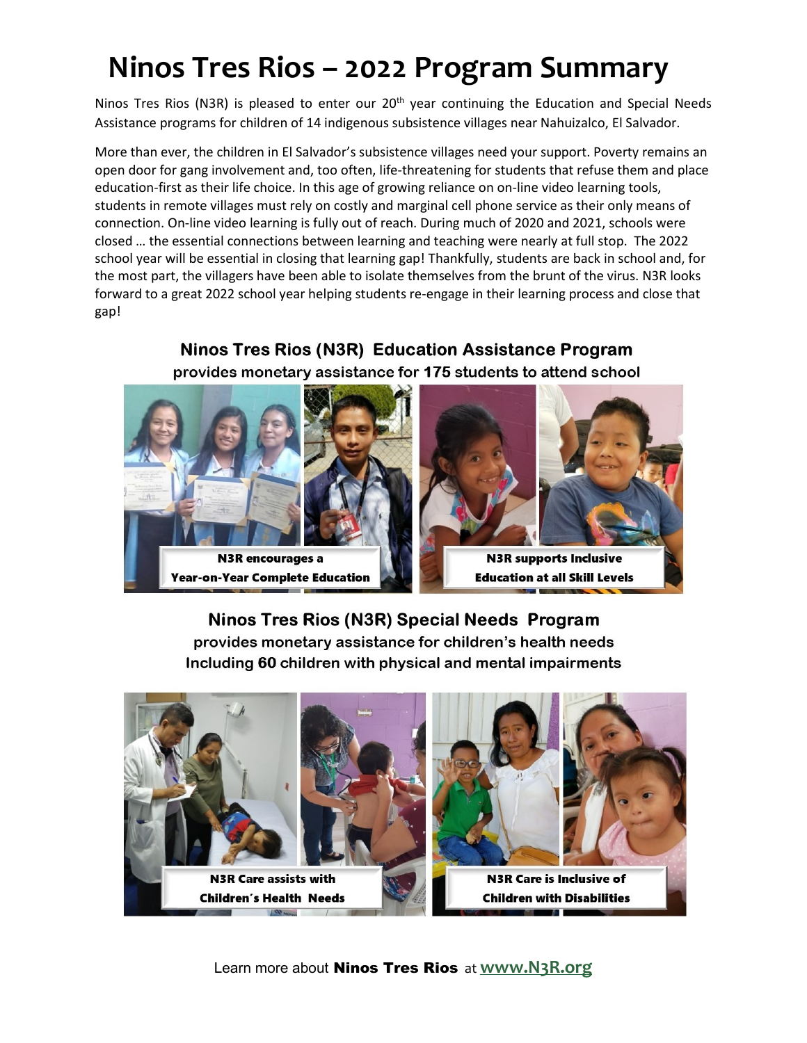## **Ninos Tres Rios – 2022 Program Summary**

Ninos Tres Rios (N3R) is pleased to enter our 20<sup>th</sup> year continuing the Education and Special Needs Assistance programs for children of 14 indigenous subsistence villages near Nahuizalco, El Salvador.

More than ever, the children in El Salvador's subsistence villages need your support. Poverty remains an open door for gang involvement and, too often, life-threatening for students that refuse them and place education-first as their life choice. In this age of growing reliance on on-line video learning tools, students in remote villages must rely on costly and marginal cell phone service as their only means of connection. On-line video learning is fully out of reach. During much of 2020 and 2021, schools were closed … the essential connections between learning and teaching were nearly at full stop. The 2022 school year will be essential in closing that learning gap! Thankfully, students are back in school and, for the most part, the villagers have been able to isolate themselves from the brunt of the virus. N3R looks forward to a great 2022 school year helping students re-engage in their learning process and close that gap!

#### **Ninos Tres Rios (N3R) Education Assistance Program** provides monetary assistance for 175 students to attend school





**N3R supports Inclusive Education at all Skill Levels** 

#### Ninos Tres Rios (N3R) Special Needs Program provides monetary assistance for children's health needs Including 60 children with physical and mental impairments



Learn more about Ninos Tres Rios at **[www.N3R.org](http://www.n3r.org/)**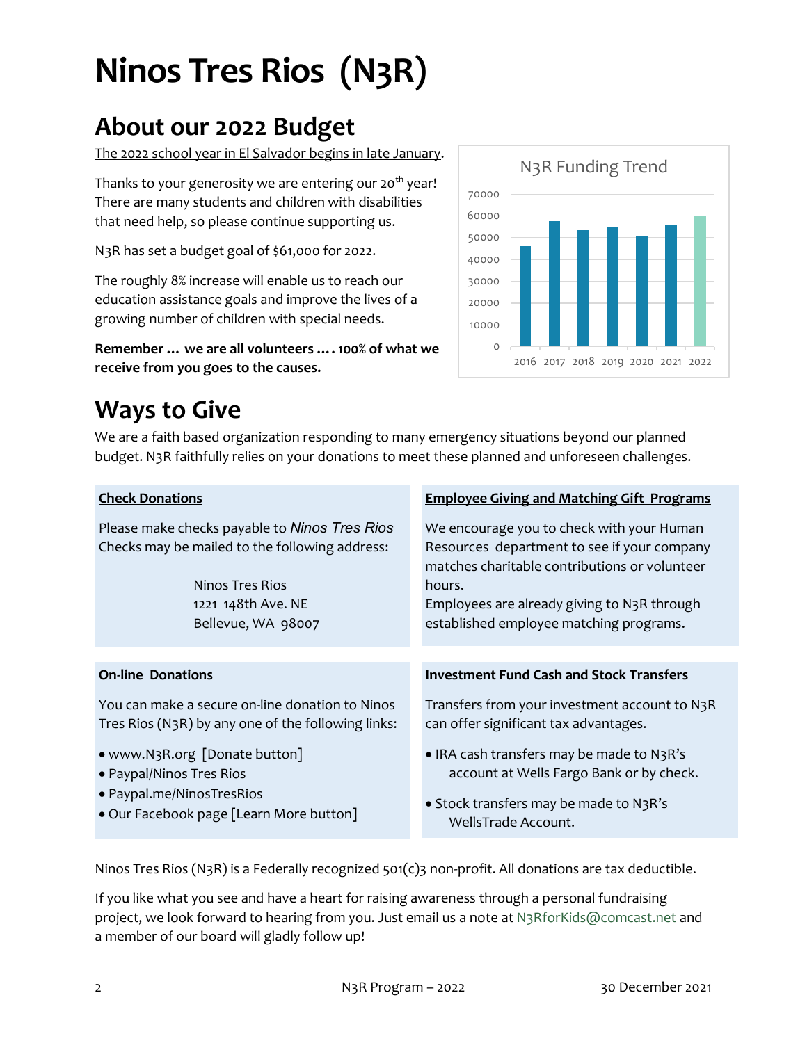# **Ninos Tres Rios (N3R)**

### **About our 2022 Budget**

The 2022 school year in El Salvador begins in late January.

Thanks to your generosity we are entering our 20<sup>th</sup> year! There are many students and children with disabilities that need help, so please continue supporting us.

N3R has set a budget goal of \$61,000 for 2022.

The roughly 8% increase will enable us to reach our education assistance goals and improve the lives of a growing number of children with special needs.

**Remember … we are all volunteers …. 100% of what we receive from you goes to the causes.**



### **Ways to Give**

We are a faith based organization responding to many emergency situations beyond our planned budget. N3R faithfully relies on your donations to meet these planned and unforeseen challenges.

| <b>Check Donations</b>                                                                                                                                         | <b>Employee Giving and Matching Gift Programs</b>                                                                                                                                                                                             |
|----------------------------------------------------------------------------------------------------------------------------------------------------------------|-----------------------------------------------------------------------------------------------------------------------------------------------------------------------------------------------------------------------------------------------|
| Please make checks payable to Ninos Tres Rios<br>Checks may be mailed to the following address:<br>Ninos Tres Rios<br>1221 148th Ave. NE<br>Bellevue, WA 98007 | We encourage you to check with your Human<br>Resources department to see if your company<br>matches charitable contributions or volunteer<br>hours.<br>Employees are already giving to N3R through<br>established employee matching programs. |
|                                                                                                                                                                |                                                                                                                                                                                                                                               |
| <b>On-line Donations</b>                                                                                                                                       | <b>Investment Fund Cash and Stock Transfers</b>                                                                                                                                                                                               |
| You can make a secure on-line donation to Ninos<br>Tres Rios (N3R) by any one of the following links:                                                          | Transfers from your investment account to N3R<br>can offer significant tax advantages.                                                                                                                                                        |
| • www.N3R.org [Donate button]<br>• Paypal/Ninos Tres Rios                                                                                                      | • IRA cash transfers may be made to N3R's<br>account at Wells Fargo Bank or by check.                                                                                                                                                         |
| • Paypal.me/NinosTresRios<br>• Our Facebook page [Learn More button]                                                                                           | • Stock transfers may be made to N3R's<br>WellsTrade Account.                                                                                                                                                                                 |

Ninos Tres Rios (N3R) is a Federally recognized 501(c)3 non-profit. All donations are tax deductible.

If you like what you see and have a heart for raising awareness through a personal fundraising project, we look forward to hearing from you. Just email us a note at [N3RforKids@comcast.net](mailto:N3RforKids@comcast.net) and a member of our board will gladly follow up!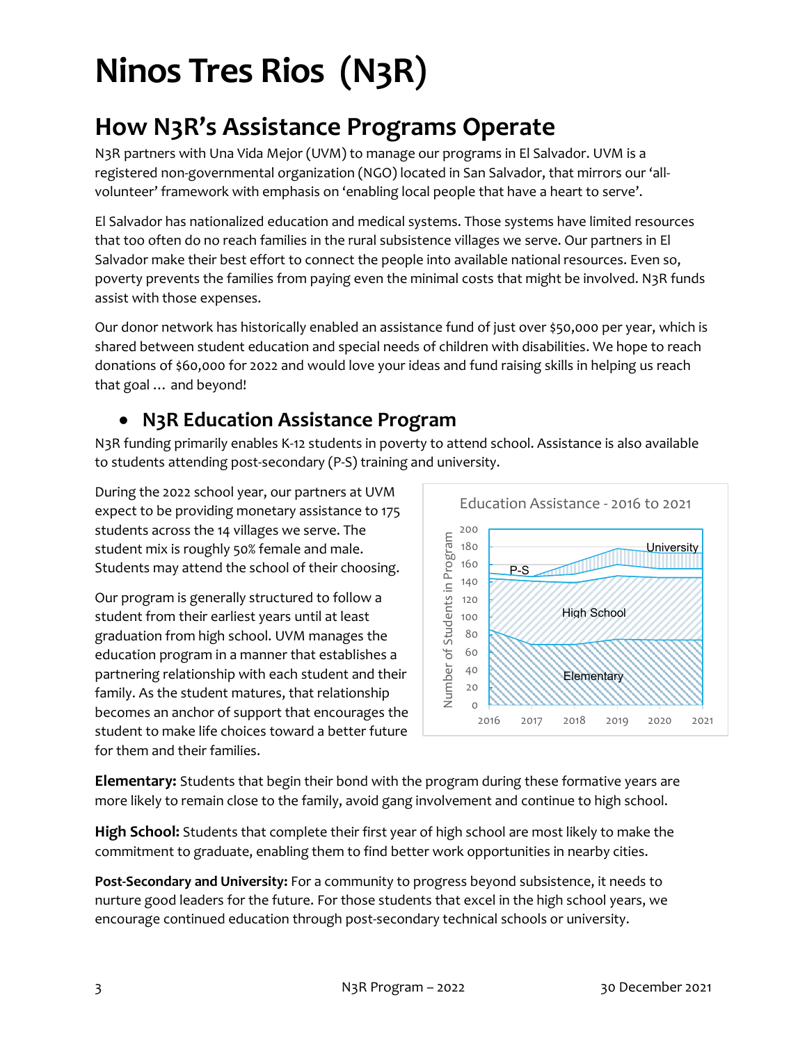## **Ninos Tres Rios (N3R)**

### **How N3R's Assistance Programs Operate**

N3R partners with Una Vida Mejor (UVM) to manage our programs in El Salvador. UVM is a registered non-governmental organization (NGO) located in San Salvador, that mirrors our 'allvolunteer' framework with emphasis on 'enabling local people that have a heart to serve'.

El Salvador has nationalized education and medical systems. Those systems have limited resources that too often do no reach families in the rural subsistence villages we serve. Our partners in El Salvador make their best effort to connect the people into available national resources. Even so, poverty prevents the families from paying even the minimal costs that might be involved. N3R funds assist with those expenses.

Our donor network has historically enabled an assistance fund of just over \$50,000 per year, which is shared between student education and special needs of children with disabilities. We hope to reach donations of \$60,000 for 2022 and would love your ideas and fund raising skills in helping us reach that goal … and beyond!

#### **N3R Education Assistance Program**

N3R funding primarily enables K-12 students in poverty to attend school. Assistance is also available to students attending post-secondary (P-S) training and university.

During the 2022 school year, our partners at UVM expect to be providing monetary assistance to 175 students across the 14 villages we serve. The student mix is roughly 50% female and male. Students may attend the school of their choosing.

Our program is generally structured to follow a student from their earliest years until at least graduation from high school. UVM manages the education program in a manner that establishes a partnering relationship with each student and their family. As the student matures, that relationship becomes an anchor of support that encourages the student to make life choices toward a better future for them and their families.



**Elementary:** Students that begin their bond with the program during these formative years are more likely to remain close to the family, avoid gang involvement and continue to high school.

**High School:** Students that complete their first year of high school are most likely to make the commitment to graduate, enabling them to find better work opportunities in nearby cities.

**Post-Secondary and University:** For a community to progress beyond subsistence, it needs to nurture good leaders for the future. For those students that excel in the high school years, we encourage continued education through post-secondary technical schools or university.